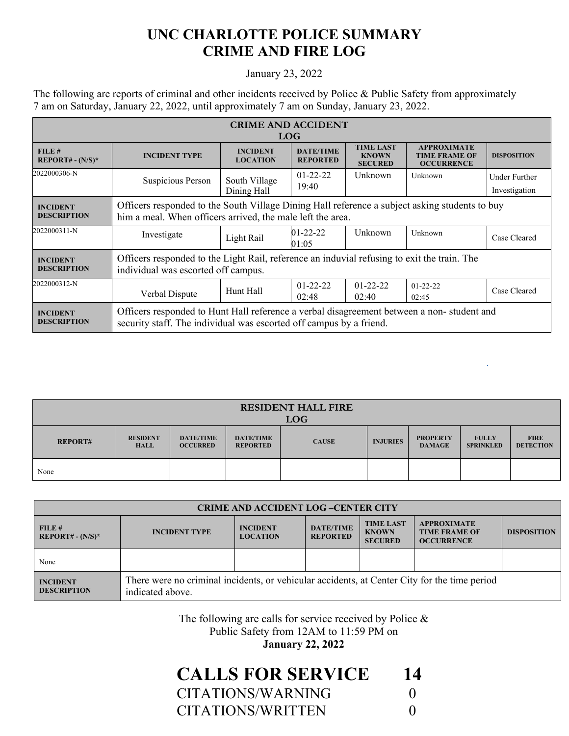## **UNC CHARLOTTE POLICE SUMMARY CRIME AND FIRE LOG**

## January 23, 2022

The following are reports of criminal and other incidents received by Police & Public Safety from approximately 7 am on Saturday, January 22, 2022, until approximately 7 am on Sunday, January 23, 2022.

| <b>CRIME AND ACCIDENT</b><br><b>LOG</b> |                                                                                                                                                                  |                                    |                                     |                                                    |                                                                 |                                |
|-----------------------------------------|------------------------------------------------------------------------------------------------------------------------------------------------------------------|------------------------------------|-------------------------------------|----------------------------------------------------|-----------------------------------------------------------------|--------------------------------|
| FILE#<br>$REPORT# - (N/S)*$             | <b>INCIDENT TYPE</b>                                                                                                                                             | <b>INCIDENT</b><br><b>LOCATION</b> | <b>DATE/TIME</b><br><b>REPORTED</b> | <b>TIME LAST</b><br><b>KNOWN</b><br><b>SECURED</b> | <b>APPROXIMATE</b><br><b>TIME FRAME OF</b><br><b>OCCURRENCE</b> | <b>DISPOSITION</b>             |
| 2022000306-N                            | Suspicious Person                                                                                                                                                | South Village<br>Dining Hall       | $01-22-22$<br>19:40                 | Unknown                                            | Unknown                                                         | Under Further<br>Investigation |
| <b>INCIDENT</b><br><b>DESCRIPTION</b>   | Officers responded to the South Village Dining Hall reference a subject asking students to buy<br>him a meal. When officers arrived, the male left the area.     |                                    |                                     |                                                    |                                                                 |                                |
| 2022000311-N                            | Investigate                                                                                                                                                      | Light Rail                         | $01 - 22 - 22$<br>01:05             | Unknown                                            | Unknown                                                         | Case Cleared                   |
| <b>INCIDENT</b><br><b>DESCRIPTION</b>   | Officers responded to the Light Rail, reference an induvial refusing to exit the train. The<br>individual was escorted off campus.                               |                                    |                                     |                                                    |                                                                 |                                |
| 2022000312-N                            | Verbal Dispute                                                                                                                                                   | Hunt Hall                          | $01 - 22 - 22$<br>02:48             | $01 - 22 - 22$<br>02:40                            | $01 - 22 - 22$<br>02:45                                         | Case Cleared                   |
| <b>INCIDENT</b><br><b>DESCRIPTION</b>   | Officers responded to Hunt Hall reference a verbal disagreement between a non-student and<br>security staff. The individual was escorted off campus by a friend. |                                    |                                     |                                                    |                                                                 |                                |

| <b>RESIDENT HALL FIRE</b><br><b>LOG</b> |                                |                                     |                                     |              |                 |                                  |                                  |                                 |
|-----------------------------------------|--------------------------------|-------------------------------------|-------------------------------------|--------------|-----------------|----------------------------------|----------------------------------|---------------------------------|
| <b>REPORT#</b>                          | <b>RESIDENT</b><br><b>HALL</b> | <b>DATE/TIME</b><br><b>OCCURRED</b> | <b>DATE/TIME</b><br><b>REPORTED</b> | <b>CAUSE</b> | <b>INJURIES</b> | <b>PROPERTY</b><br><b>DAMAGE</b> | <b>FULLY</b><br><b>SPRINKLED</b> | <b>FIRE</b><br><b>DETECTION</b> |
| None                                    |                                |                                     |                                     |              |                 |                                  |                                  |                                 |

| <b>CRIME AND ACCIDENT LOG-CENTER CITY</b> |                                                                                                                  |                                    |                                     |                                                    |                                                                 |                    |
|-------------------------------------------|------------------------------------------------------------------------------------------------------------------|------------------------------------|-------------------------------------|----------------------------------------------------|-----------------------------------------------------------------|--------------------|
| FILE#<br>$REPORT# - (N/S)*$               | <b>INCIDENT TYPE</b>                                                                                             | <b>INCIDENT</b><br><b>LOCATION</b> | <b>DATE/TIME</b><br><b>REPORTED</b> | <b>TIME LAST</b><br><b>KNOWN</b><br><b>SECURED</b> | <b>APPROXIMATE</b><br><b>TIME FRAME OF</b><br><b>OCCURRENCE</b> | <b>DISPOSITION</b> |
| None                                      |                                                                                                                  |                                    |                                     |                                                    |                                                                 |                    |
| <b>INCIDENT</b><br><b>DESCRIPTION</b>     | There were no criminal incidents, or vehicular accidents, at Center City for the time period<br>indicated above. |                                    |                                     |                                                    |                                                                 |                    |

The following are calls for service received by Police & Public Safety from 12AM to 11:59 PM on

**January 22, 2022** 

| <b>CALLS FOR SERVICE</b> | 14 |
|--------------------------|----|
| CITATIONS/WARNING        |    |
| CITATIONS/WRITTEN        |    |